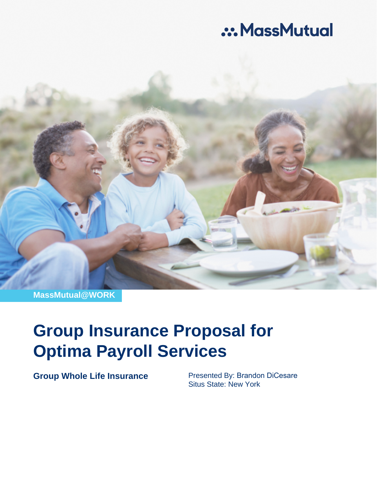# .:. MassMutual



**MassMutual@WORK**

# **Group Insurance Proposal for Optima Payroll Services**

**Group Whole Life Insurance** Presented By: Brandon DiCesare

Situs State: New York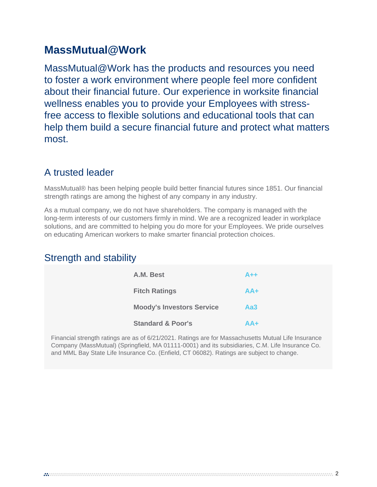# **MassMutual@Work**

MassMutual@Work has the products and resources you need to foster a work environment where people feel more confident about their financial future. Our experience in worksite financial wellness enables you to provide your Employees with stressfree access to flexible solutions and educational tools that can help them build a secure financial future and protect what matters most.

### A trusted leader

MassMutual® has been helping people build better financial futures since 1851. Our financial strength ratings are among the highest of any company in any industry.

As a mutual company, we do not have shareholders. The company is managed with the long-term interests of our customers firmly in mind. We are a recognized leader in workplace solutions, and are committed to helping you do more for your Employees. We pride ourselves on educating American workers to make smarter financial protection choices.

### Strength and stability

| A.M. Best                        | $A++$ |
|----------------------------------|-------|
| <b>Fitch Ratings</b>             | $AA+$ |
| <b>Moody's Investors Service</b> | Aa3   |
| <b>Standard &amp; Poor's</b>     | $AA+$ |

Financial strength ratings are as of 6/21/2021. Ratings are for Massachusetts Mutual Life Insurance Company (MassMutual) (Springfield, MA 01111-0001) and its subsidiaries, C.M. Life Insurance Co. and MML Bay State Life Insurance Co. (Enfield, CT 06082). Ratings are subject to change.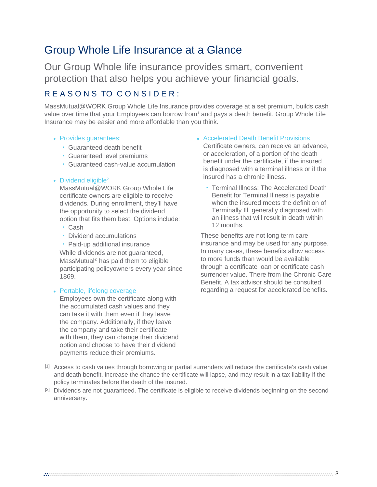# Group Whole Life Insurance at a Glance

Our Group Whole life insurance provides smart, convenient protection that also helps you achieve your financial goals.

### R E A S O N S TO C O N S I D E R :

MassMutual@WORK Group Whole Life Insurance provides coverage at a set premium, builds cash value over time that your Employees can borrow from<sup>1</sup> and pays a death benefit. Group Whole Life Insurance may be easier and more affordable than you think.

#### • Provides guarantees:

- Guaranteed death benefit
- Guaranteed level premiums
- Guaranteed cash-value accumulation

#### • Dividend eligible $2$

MassMutual@WORK Group Whole Life certificate owners are eligible to receive dividends. During enrollment, they'll have the opportunity to select the dividend option that fits them best. Options include:

- Cash
- Dividend accumulations

• Paid-up additional insurance While dividends are not guaranteed, MassMutual® has paid them to eligible participating policyowners every year since 1869.

#### • Portable, lifelong coverage

Employees own the certificate along with the accumulated cash values and they can take it with them even if they leave the company. Additionally, if they leave the company and take their certificate with them, they can change their dividend option and choose to have their dividend payments reduce their premiums.

#### • Accelerated Death Benefit Provisions

Certificate owners, can receive an advance, or acceleration, of a portion of the death benefit under the certificate, if the insured is diagnosed with a terminal illness or if the insured has a chronic illness.

• Terminal Illness: The Accelerated Death Benefit for Terminal Illness is payable when the insured meets the definition of Terminally Ill, generally diagnosed with an illness that will result in death within 12 months.

These benefits are not long term care insurance and may be used for any purpose. In many cases, these benefits allow access to more funds than would be available through a certificate loan or certificate cash surrender value. There from the Chronic Care Benefit. A tax advisor should be consulted regarding a request for accelerated benefits.

- [1] Access to cash values through borrowing or partial surrenders will reduce the certificate's cash value and death benefit, increase the chance the certificate will lapse, and may result in a tax liability if the policy terminates before the death of the insured.
- [2] Dividends are not guaranteed. The certificate is eligible to receive dividends beginning on the second anniversary.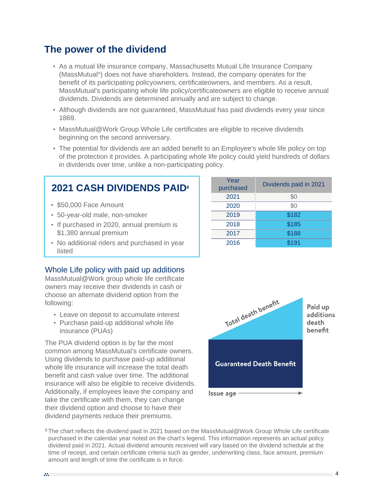### **The power of the dividend**

- As a mutual life insurance company, Massachusetts Mutual Life Insurance Company (MassMutual® ) does not have shareholders. Instead, the company operates for the benefit of its participating policyowners, certificateowners, and members. As a result, MassMutual's participating whole life policy/certificateowners are eligible to receive annual dividends. Dividends are determined annually and are subject to change.
- Although dividends are not guaranteed, MassMutual has paid dividends every year since 1869.
- MassMutual@Work Group Whole Life certificates are eligible to receive dividends beginning on the second anniversary.
- The potential for dividends are an added benefit to an Employee's whole life policy on top of the protection it provides. A participating whole life policy could yield hundreds of dollars in dividends over time, unlike a non-participating policy.

### **2021 CASH DIVIDENDS PAID<sup>8</sup>**

- \$50,000 Face Amount
- 50-year-old male, non-smoker
- If purchased in 2020, annual premium is \$1,380 annual premium
- No additional riders and purchased in year listed

### Whole Life policy with paid up additions

MassMutual@Work group whole life certificate owners may receive their dividends in cash or choose an alternate dividend option from the following:

- Leave on deposit to accumulate interest
- Purchase paid-up additional whole life insurance (PUAs)

The PUA dividend option is by far the most common among MassMutual's certificate owners. Using dividends to purchase paid-up additional whole life insurance will increase the total death benefit and cash value over time. The additional insurance will also be eligible to receive dividends. Additionally, if employees leave the company and take the certificate with them, they can change their dividend option and choose to have their dividend payments reduce their premiums.





8 The chart reflects the dividend paid in 2021 based on the MassMutual@Work Group Whole Life certificate purchased in the calendar year noted on the chart's legend. This information represents an actual policy dividend paid in 2021. Actual dividend amounts received will vary based on the dividend schedule at the time of receipt, and certain certificate criteria such as gender, underwriting class, face amount, premium amount and length of time the certificate is in force.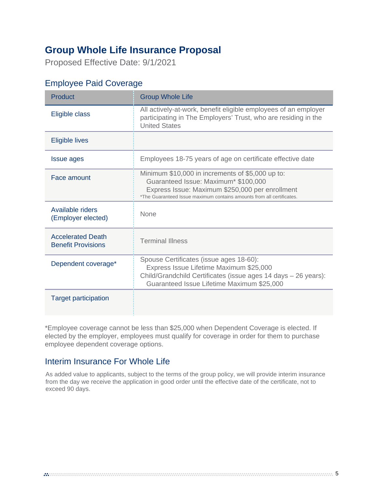## **Group Whole Life Insurance Proposal**

Proposed Effective Date: 9/1/2021

### Employee Paid Coverage

| <b>Product</b>                                        | <b>Group Whole Life</b>                                                                                                                                                                                              |
|-------------------------------------------------------|----------------------------------------------------------------------------------------------------------------------------------------------------------------------------------------------------------------------|
| Eligible class                                        | All actively-at-work, benefit eligible employees of an employer<br>participating in The Employers' Trust, who are residing in the<br><b>United States</b>                                                            |
| <b>Eligible lives</b>                                 |                                                                                                                                                                                                                      |
| <b>Issue ages</b>                                     | Employees 18-75 years of age on certificate effective date                                                                                                                                                           |
| Face amount                                           | Minimum \$10,000 in increments of \$5,000 up to:<br>Guaranteed Issue: Maximum* \$100,000<br>Express Issue: Maximum \$250,000 per enrollment<br>*The Guaranteed Issue maximum contains amounts from all certificates. |
| Available riders<br>(Employer elected)                | <b>None</b>                                                                                                                                                                                                          |
| <b>Accelerated Death</b><br><b>Benefit Provisions</b> | <b>Terminal Illness</b>                                                                                                                                                                                              |
| Dependent coverage*                                   | Spouse Certificates (issue ages 18-60):<br>Express Issue Lifetime Maximum \$25,000<br>Child/Grandchild Certificates (issue ages 14 days - 26 years):<br>Guaranteed Issue Lifetime Maximum \$25,000                   |
| <b>Target participation</b>                           |                                                                                                                                                                                                                      |

\*Employee coverage cannot be less than \$25,000 when Dependent Coverage is elected. If elected by the employer, employees must qualify for coverage in order for them to purchase employee dependent coverage options.

### Interim Insurance For Whole Life

As added value to applicants, subject to the terms of the group policy, we will provide interim insurance from the day we receive the application in good order until the effective date of the certificate, not to exceed 90 days.